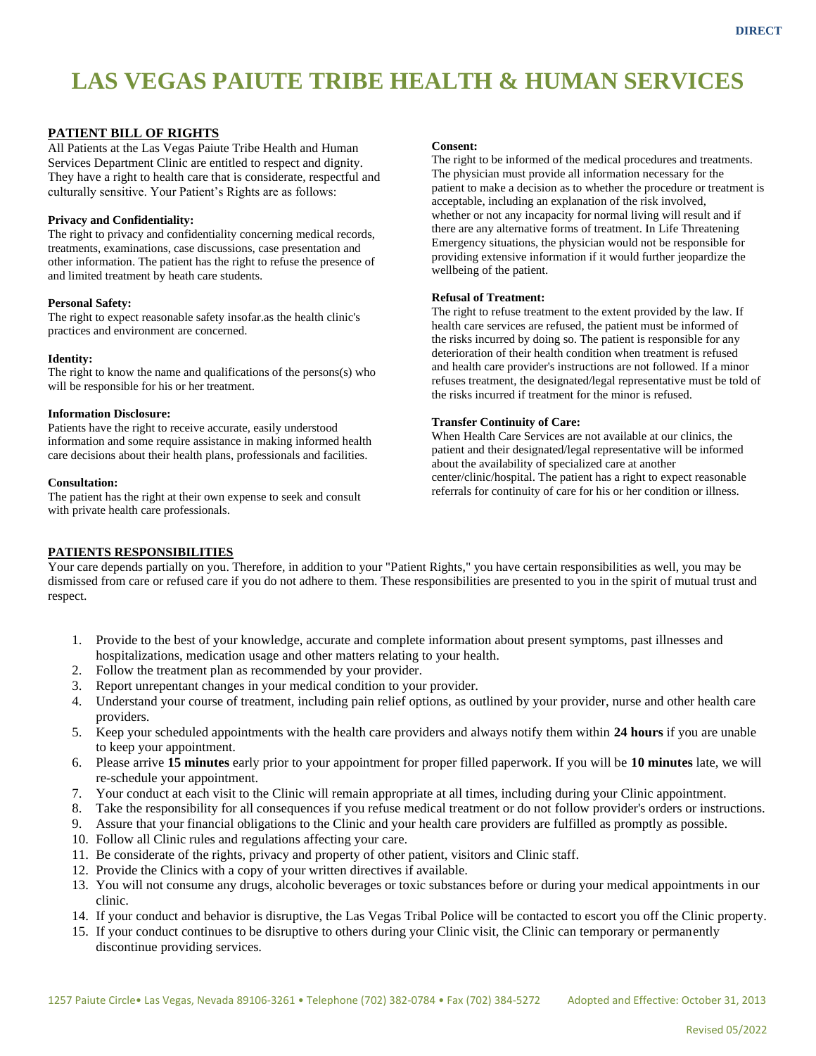# **LAS VEGAS PAIUTE TRIBE HEALTH & HUMAN SERVICES**

### **PATIENT BILL OF RIGHTS**

All Patients at the Las Vegas Paiute Tribe Health and Human Services Department Clinic are entitled to respect and dignity. They have a right to health care that is considerate, respectful and culturally sensitive. Your Patient's Rights are as follows:

### **Privacy and Confidentiality:**

The right to privacy and confidentiality concerning medical records, treatments, examinations, case discussions, case presentation and other information. The patient has the right to refuse the presence of and limited treatment by heath care students.

### **Personal Safety:**

The right to expect reasonable safety insofar.as the health clinic's practices and environment are concerned.

### **Identity:**

The right to know the name and qualifications of the persons(s) who will be responsible for his or her treatment.

#### **Information Disclosure:**

Patients have the right to receive accurate, easily understood information and some require assistance in making informed health care decisions about their health plans, professionals and facilities.

#### **Consultation:**

The patient has the right at their own expense to seek and consult with private health care professionals.

#### **Consent:**

The right to be informed of the medical procedures and treatments. The physician must provide all information necessary for the patient to make a decision as to whether the procedure or treatment is acceptable, including an explanation of the risk involved, whether or not any incapacity for normal living will result and if there are any alternative forms of treatment. In Life Threatening Emergency situations, the physician would not be responsible for providing extensive information if it would further jeopardize the wellbeing of the patient.

### **Refusal of Treatment:**

The right to refuse treatment to the extent provided by the law. If health care services are refused, the patient must be informed of the risks incurred by doing so. The patient is responsible for any deterioration of their health condition when treatment is refused and health care provider's instructions are not followed. If a minor refuses treatment, the designated/legal representative must be told of the risks incurred if treatment for the minor is refused.

### **Transfer Continuity of Care:**

When Health Care Services are not available at our clinics, the patient and their designated/legal representative will be informed about the availability of specialized care at another center/clinic/hospital. The patient has a right to expect reasonable referrals for continuity of care for his or her condition or illness.

### **PATIENTS RESPONSIBILITIES**

Your care depends partially on you. Therefore, in addition to your "Patient Rights," you have certain responsibilities as well, you may be dismissed from care or refused care if you do not adhere to them. These responsibilities are presented to you in the spirit of mutual trust and respect.

- 1. Provide to the best of your knowledge, accurate and complete information about present symptoms, past illnesses and hospitalizations, medication usage and other matters relating to your health.
- 2. Follow the treatment plan as recommended by your provider.
- 3. Report unrepentant changes in your medical condition to your provider.
- 4. Understand your course of treatment, including pain relief options, as outlined by your provider, nurse and other health care providers.
- 5. Keep your scheduled appointments with the health care providers and always notify them within **24 hours** if you are unable to keep your appointment.
- 6. Please arrive **15 minutes** early prior to your appointment for proper filled paperwork. If you will be **10 minutes** late, we will re-schedule your appointment.
- 7. Your conduct at each visit to the Clinic will remain appropriate at all times, including during your Clinic appointment.
- 8. Take the responsibility for all consequences if you refuse medical treatment or do not follow provider's orders or instructions.
- 9. Assure that your financial obligations to the Clinic and your health care providers are fulfilled as promptly as possible.
- 10. Follow all Clinic rules and regulations affecting your care.
- 11. Be considerate of the rights, privacy and property of other patient, visitors and Clinic staff.
- 12. Provide the Clinics with a copy of your written directives if available.
- 13. You will not consume any drugs, alcoholic beverages or toxic substances before or during your medical appointments in our clinic.
- 14. If your conduct and behavior is disruptive, the Las Vegas Tribal Police will be contacted to escort you off the Clinic property.
- 15. If your conduct continues to be disruptive to others during your Clinic visit, the Clinic can temporary or permanently discontinue providing services.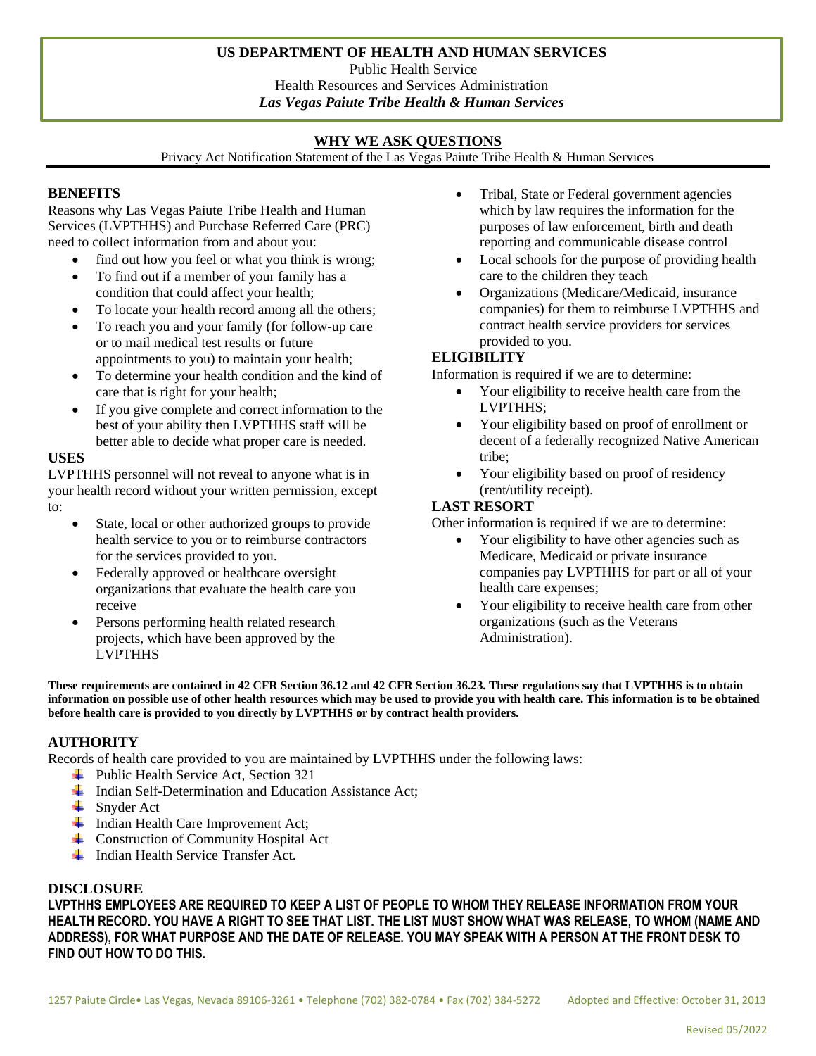### **WHY WE ASK QUESTIONS**

Privacy Act Notification Statement of the Las Vegas Paiute Tribe Health & Human Services

### **BENEFITS**

Reasons why Las Vegas Paiute Tribe Health and Human Services (LVPTHHS) and Purchase Referred Care (PRC) need to collect information from and about you:

- find out how you feel or what you think is wrong;
- To find out if a member of your family has a condition that could affect your health;
- To locate your health record among all the others;
- To reach you and your family (for follow-up care or to mail medical test results or future appointments to you) to maintain your health;
- To determine your health condition and the kind of care that is right for your health;
- If you give complete and correct information to the best of your ability then LVPTHHS staff will be better able to decide what proper care is needed.

### **USES**

LVPTHHS personnel will not reveal to anyone what is in your health record without your written permission, except to:

- State, local or other authorized groups to provide health service to you or to reimburse contractors for the services provided to you.
- Federally approved or healthcare oversight organizations that evaluate the health care you receive
- Persons performing health related research projects, which have been approved by the LVPTHHS
- Tribal, State or Federal government agencies which by law requires the information for the purposes of law enforcement, birth and death reporting and communicable disease control
- Local schools for the purpose of providing health care to the children they teach
- Organizations (Medicare/Medicaid, insurance companies) for them to reimburse LVPTHHS and contract health service providers for services provided to you.

## **ELIGIBILITY**

Information is required if we are to determine:

- Your eligibility to receive health care from the LVPTHHS;
- Your eligibility based on proof of enrollment or decent of a federally recognized Native American tribe;
- Your eligibility based on proof of residency (rent/utility receipt).

## **LAST RESORT**

Other information is required if we are to determine:

- Your eligibility to have other agencies such as Medicare, Medicaid or private insurance companies pay LVPTHHS for part or all of your health care expenses;
- Your eligibility to receive health care from other organizations (such as the Veterans Administration).

**These requirements are contained in 42 CFR Section 36.12 and 42 CFR Section 36.23. These regulations say that LVPTHHS is to obtain information on possible use of other health resources which may be used to provide you with health care. This information is to be obtained before health care is provided to you directly by LVPTHHS or by contract health providers.**

### **AUTHORITY**

Records of health care provided to you are maintained by LVPTHHS under the following laws:

- $\overline{\phantom{a} \bullet}$  Public Health Service Act, Section 321
- $\ddot{\text{I}}$  Indian Self-Determination and Education Assistance Act;
- $\frac{1}{2}$  Snyder Act
- $\overline{\phantom{a}}$  Indian Health Care Improvement Act;
- **↓** Construction of Community Hospital Act
- **↓** Indian Health Service Transfer Act.

### **DISCLOSURE**

**LVPTHHS EMPLOYEES ARE REQUIRED TO KEEP A LIST OF PEOPLE TO WHOM THEY RELEASE INFORMATION FROM YOUR HEALTH RECORD. YOU HAVE A RIGHT TO SEE THAT LIST. THE LIST MUST SHOW WHAT WAS RELEASE, TO WHOM (NAME AND ADDRESS), FOR WHAT PURPOSE AND THE DATE OF RELEASE. YOU MAY SPEAK WITH A PERSON AT THE FRONT DESK TO FIND OUT HOW TO DO THIS.**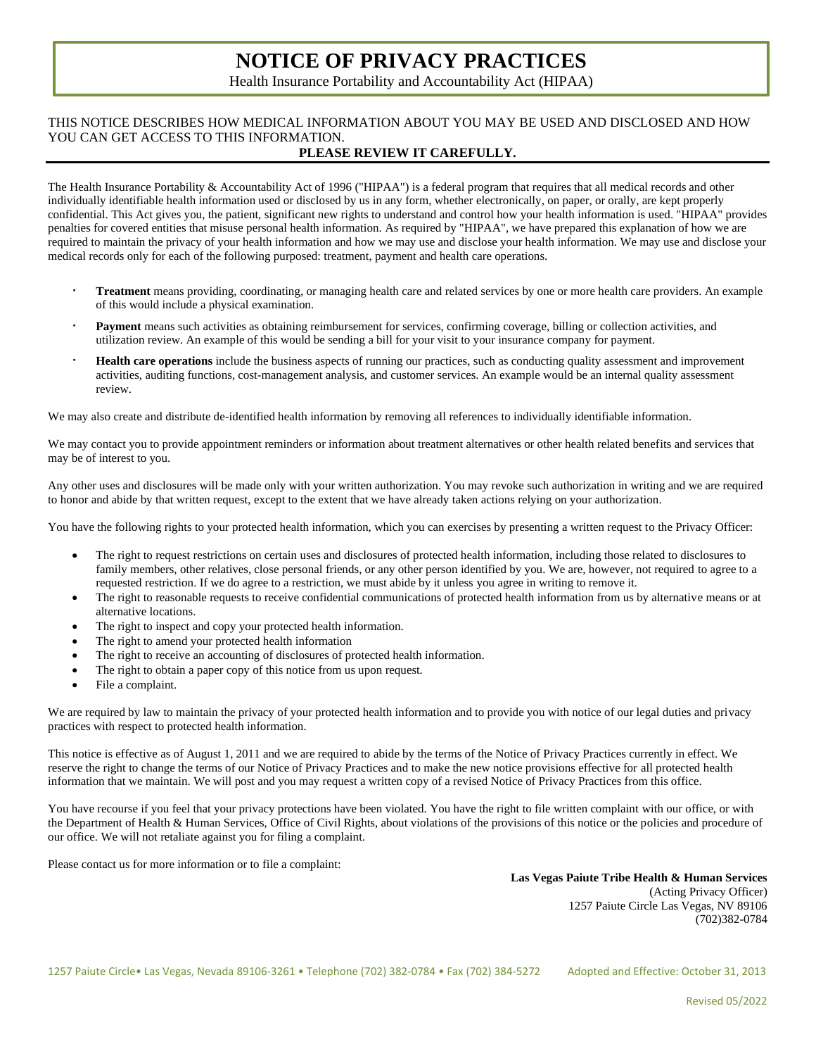# NOTICE OF PRIVACY PRACTICES **NOTICE OF PRIVACY PRACTICES**

Health Insurance Portability and Accountability Act (HIPAA) Health Insurance Portability and Accountability Act (HIPAA)

## THIS NOTICE DESCRIBES HOW MEDICAL INFORMATION ABOUT YOU MAY BE USED AND DISCLOSED AND HOW YOU CAN GET ACCESS TO THIS INFORMATION.

### **PLEASE REVIEW IT CAREFULLY.**

The Health Insurance Portability & Accountability Act of 1996 ("HIPAA") is a federal program that requires that all medical records and other individually identifiable health information used or disclosed by us in any form, whether electronically, on paper, or orally, are kept properly confidential. This Act gives you, the patient, significant new rights to understand and control how your health information is used. "HIPAA" provides penalties for covered entities that misuse personal health information. As required by "HIPAA", we have prepared this explanation of how we are required to maintain the privacy of your health information and how we may use and disclose your health information. We may use and disclose your medical records only for each of the following purposed: treatment, payment and health care operations.

- **Treatment** means providing, coordinating, or managing health care and related services by one or more health care providers. An example of this would include a physical examination.
- **Payment** means such activities as obtaining reimbursement for services, confirming coverage, billing or collection activities, and utilization review. An example of this would be sending a bill for your visit to your insurance company for payment.
- **Health care operations** include the business aspects of running our practices, such as conducting quality assessment and improvement activities, auditing functions, cost-management analysis, and customer services. An example would be an internal quality assessment review.

We may also create and distribute de-identified health information by removing all references to individually identifiable information.

We may contact you to provide appointment reminders or information about treatment alternatives or other health related benefits and services that may be of interest to you.

Any other uses and disclosures will be made only with your written authorization. You may revoke such authorization in writing and we are required to honor and abide by that written request, except to the extent that we have already taken actions relying on your authorization.

You have the following rights to your protected health information, which you can exercises by presenting a written request to the Privacy Officer:

- The right to request restrictions on certain uses and disclosures of protected health information, including those related to disclosures to family members, other relatives, close personal friends, or any other person identified by you. We are, however, not required to agree to a requested restriction. If we do agree to a restriction, we must abide by it unless you agree in writing to remove it.
- The right to reasonable requests to receive confidential communications of protected health information from us by alternative means or at alternative locations.
- The right to inspect and copy your protected health information.
- The right to amend your protected health information
- The right to receive an accounting of disclosures of protected health information.
- The right to obtain a paper copy of this notice from us upon request.
- File a complaint.

We are required by law to maintain the privacy of your protected health information and to provide you with notice of our legal duties and privacy practices with respect to protected health information.

This notice is effective as of August 1, 2011 and we are required to abide by the terms of the Notice of Privacy Practices currently in effect. We reserve the right to change the terms of our Notice of Privacy Practices and to make the new notice provisions effective for all protected health information that we maintain. We will post and you may request a written copy of a revised Notice of Privacy Practices from this office.

You have recourse if you feel that your privacy protections have been violated. You have the right to file written complaint with our office, or with the Department of Health & Human Services, Office of Civil Rights, about violations of the provisions of this notice or the policies and procedure of our office. We will not retaliate against you for filing a complaint.

Please contact us for more information or to file a complaint:

**Las Vegas Paiute Tribe Health & Human Services**  (Acting Privacy Officer) 1257 Paiute Circle Las Vegas, NV 89106 (702)382-0784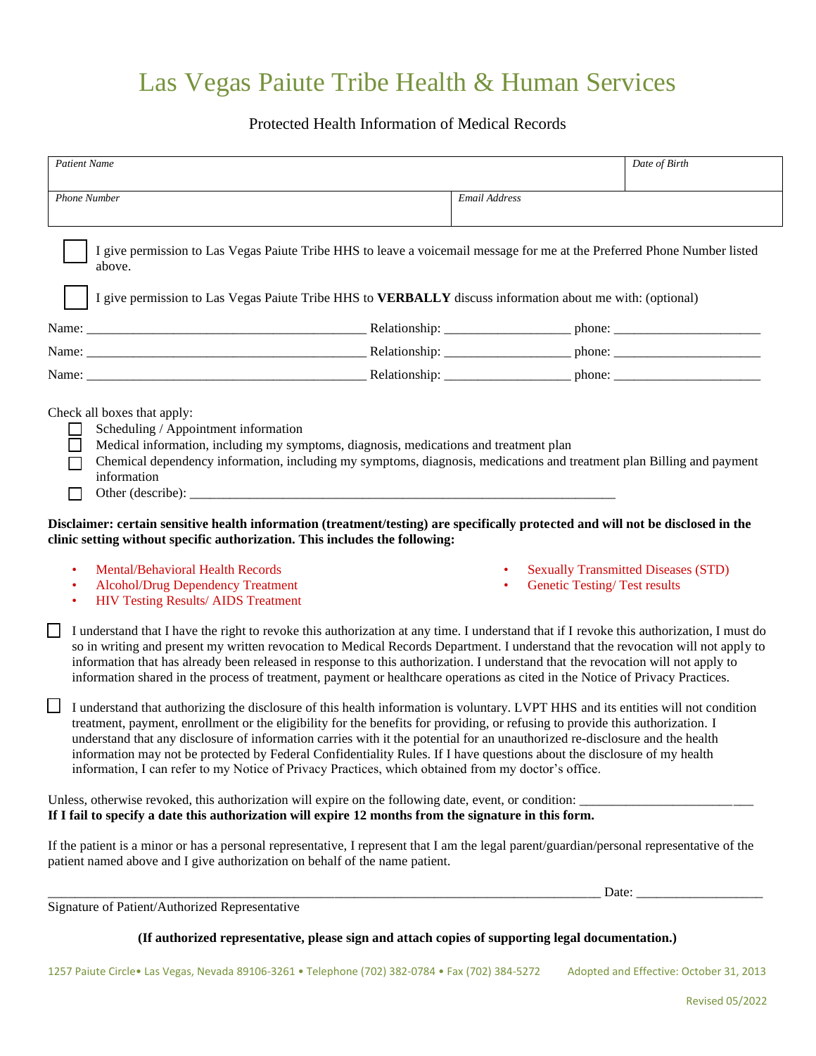# Las Vegas Paiute Tribe Health & Human Services

## Protected Health Information of Medical Records

| <b>Patient Name</b>                                                                                                                                                                                                                                                                                                                                                                                                                                                                                                                                                                                                                     |                              | Date of Birth                              |
|-----------------------------------------------------------------------------------------------------------------------------------------------------------------------------------------------------------------------------------------------------------------------------------------------------------------------------------------------------------------------------------------------------------------------------------------------------------------------------------------------------------------------------------------------------------------------------------------------------------------------------------------|------------------------------|--------------------------------------------|
| <b>Phone Number</b>                                                                                                                                                                                                                                                                                                                                                                                                                                                                                                                                                                                                                     | <b>Email Address</b>         |                                            |
| I give permission to Las Vegas Paiute Tribe HHS to leave a voicemail message for me at the Preferred Phone Number listed<br>above.                                                                                                                                                                                                                                                                                                                                                                                                                                                                                                      |                              |                                            |
| I give permission to Las Vegas Paiute Tribe HHS to VERBALLY discuss information about me with: (optional)                                                                                                                                                                                                                                                                                                                                                                                                                                                                                                                               |                              |                                            |
|                                                                                                                                                                                                                                                                                                                                                                                                                                                                                                                                                                                                                                         |                              |                                            |
|                                                                                                                                                                                                                                                                                                                                                                                                                                                                                                                                                                                                                                         |                              |                                            |
|                                                                                                                                                                                                                                                                                                                                                                                                                                                                                                                                                                                                                                         |                              |                                            |
| Chemical dependency information, including my symptoms, diagnosis, medications and treatment plan Billing and payment<br>information<br>Other (describe):<br>Disclaimer: certain sensitive health information (treatment/testing) are specifically protected and will not be disclosed in the<br>clinic setting without specific authorization. This includes the following:                                                                                                                                                                                                                                                            |                              |                                            |
| <b>Mental/Behavioral Health Records</b><br>$\bullet$<br><b>Alcohol/Drug Dependency Treatment</b><br>$\bullet$<br><b>HIV Testing Results/ AIDS Treatment</b><br>$\bullet$                                                                                                                                                                                                                                                                                                                                                                                                                                                                | Genetic Testing/Test results | <b>Sexually Transmitted Diseases (STD)</b> |
| I understand that I have the right to revoke this authorization at any time. I understand that if I revoke this authorization, I must do<br>so in writing and present my written revocation to Medical Records Department. I understand that the revocation will not apply to<br>information that has already been released in response to this authorization. I understand that the revocation will not apply to<br>information shared in the process of treatment, payment or healthcare operations as cited in the Notice of Privacy Practices.                                                                                      |                              |                                            |
| I understand that authorizing the disclosure of this health information is voluntary. LVPT HHS and its entities will not condition<br>treatment, payment, enrollment or the eligibility for the benefits for providing, or refusing to provide this authorization. I<br>understand that any disclosure of information carries with it the potential for an unauthorized re-disclosure and the health<br>information may not be protected by Federal Confidentiality Rules. If I have questions about the disclosure of my health<br>information, I can refer to my Notice of Privacy Practices, which obtained from my doctor's office. |                              |                                            |
| If I fail to specify a date this authorization will expire 12 months from the signature in this form.                                                                                                                                                                                                                                                                                                                                                                                                                                                                                                                                   |                              |                                            |
| If the patient is a minor or has a personal representative, I represent that I am the legal parent/guardian/personal representative of the<br>patient named above and I give authorization on behalf of the name patient.                                                                                                                                                                                                                                                                                                                                                                                                               |                              |                                            |
|                                                                                                                                                                                                                                                                                                                                                                                                                                                                                                                                                                                                                                         |                              | Date: $\_\_$                               |

Signature of Patient/Authorized Representative

**(If authorized representative, please sign and attach copies of supporting legal documentation.)**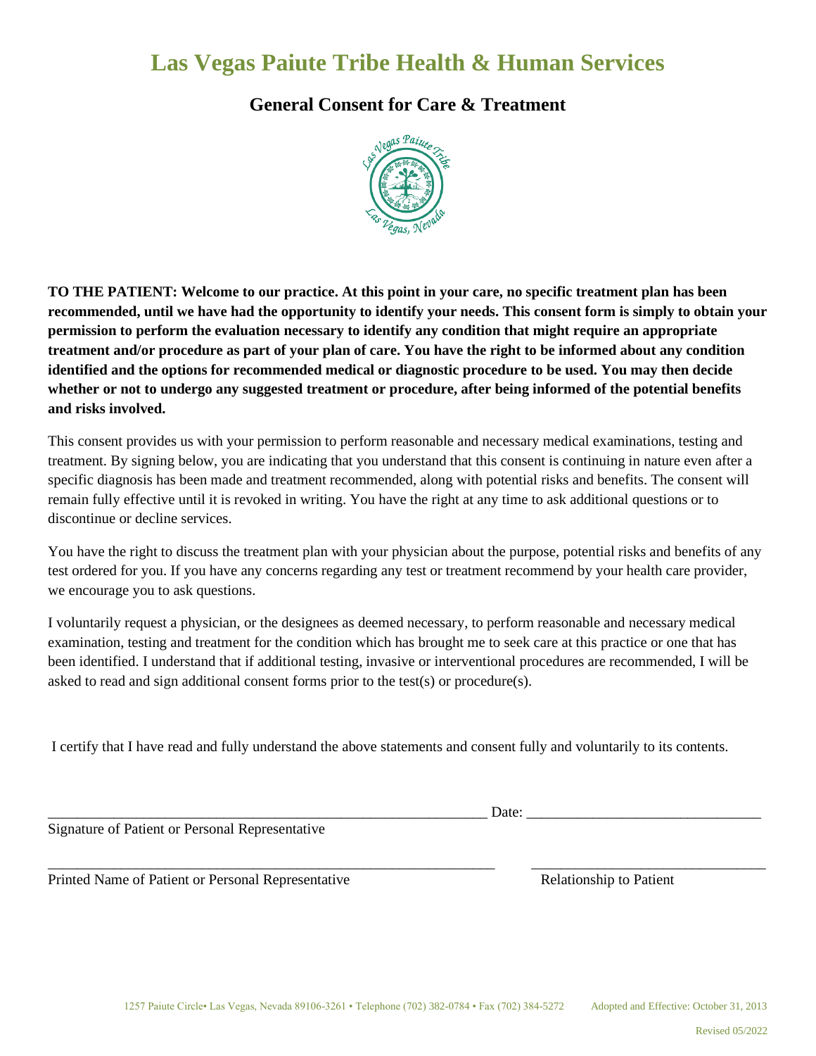# Printed Name of Patient or Personal Representative Relationship to Patient

# **Las Vegas Paiute Tribe Health & Human Services**

# **General Consent for Care & Treatment**

**TO THE PATIENT: Welcome to our practice. At this point in your care, no specific treatment plan has been recommended, until we have had the opportunity to identify your needs. This consent form is simply to obtain your permission to perform the evaluation necessary to identify any condition that might require an appropriate treatment and/or procedure as part of your plan of care. You have the right to be informed about any condition identified and the options for recommended medical or diagnostic procedure to be used. You may then decide whether or not to undergo any suggested treatment or procedure, after being informed of the potential benefits and risks involved.** 

This consent provides us with your permission to perform reasonable and necessary medical examinations, testing and treatment. By signing below, you are indicating that you understand that this consent is continuing in nature even after a specific diagnosis has been made and treatment recommended, along with potential risks and benefits. The consent will remain fully effective until it is revoked in writing. You have the right at any time to ask additional questions or to discontinue or decline services.

You have the right to discuss the treatment plan with your physician about the purpose, potential risks and benefits of any test ordered for you. If you have any concerns regarding any test or treatment recommend by your health care provider, we encourage you to ask questions.

I voluntarily request a physician, or the designees as deemed necessary, to perform reasonable and necessary medical examination, testing and treatment for the condition which has brought me to seek care at this practice or one that has been identified. I understand that if additional testing, invasive or interventional procedures are recommended, I will be asked to read and sign additional consent forms prior to the test(s) or procedure(s).

I certify that I have read and fully understand the above statements and consent fully and voluntarily to its contents.

\_\_\_\_\_\_\_\_\_\_\_\_\_\_\_\_\_\_\_\_\_\_\_\_\_\_\_\_\_\_\_\_\_\_\_\_\_\_\_\_\_\_\_\_\_\_\_\_\_\_\_\_\_\_\_\_\_\_\_\_ Date: \_\_\_\_\_\_\_\_\_\_\_\_\_\_\_\_\_\_\_\_\_\_\_\_\_\_\_\_\_\_\_\_

Signature of Patient or Personal Representative

\_\_\_\_\_\_\_\_\_\_\_\_\_\_\_\_\_\_\_\_\_\_\_\_\_\_\_\_\_\_\_\_\_\_\_\_\_\_\_\_\_\_\_\_\_\_\_\_\_\_\_\_\_\_\_\_\_\_\_\_\_ \_\_\_\_\_\_\_\_\_\_\_\_\_\_\_\_\_\_\_\_\_\_\_\_\_\_\_\_\_\_\_\_

ogas Paine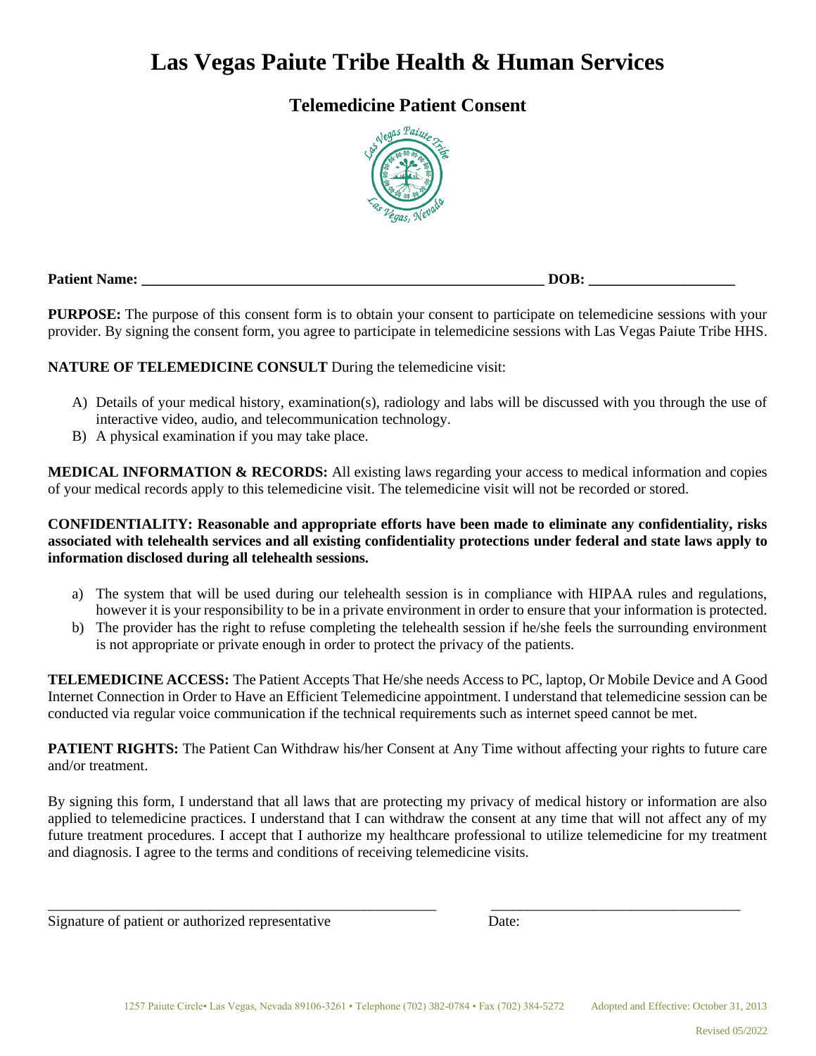# **Las Vegas Paiute Tribe Health & Human Services**

**Telemedicine Patient Consent**



**Patient Name: \_\_\_\_\_\_\_\_\_\_\_\_\_\_\_\_\_\_\_\_\_\_\_\_\_\_\_\_\_\_\_\_\_\_\_\_\_\_\_\_\_\_\_\_\_\_\_\_\_\_\_\_\_\_\_ DOB: \_\_\_\_\_\_\_\_\_\_\_\_\_\_\_\_\_\_\_\_**

**PURPOSE:** The purpose of this consent form is to obtain your consent to participate on telemedicine sessions with your provider. By signing the consent form, you agree to participate in telemedicine sessions with Las Vegas Paiute Tribe HHS.

**NATURE OF TELEMEDICINE CONSULT** During the telemedicine visit:

- A) Details of your medical history, examination(s), radiology and labs will be discussed with you through the use of interactive video, audio, and telecommunication technology.
- B) A physical examination if you may take place.

**MEDICAL INFORMATION & RECORDS:** All existing laws regarding your access to medical information and copies of your medical records apply to this telemedicine visit. The telemedicine visit will not be recorded or stored.

**CONFIDENTIALITY: Reasonable and appropriate efforts have been made to eliminate any confidentiality, risks associated with telehealth services and all existing confidentiality protections under federal and state laws apply to information disclosed during all telehealth sessions.** 

- a) The system that will be used during our telehealth session is in compliance with HIPAA rules and regulations, however it is your responsibility to be in a private environment in order to ensure that your information is protected.
- b) The provider has the right to refuse completing the telehealth session if he/she feels the surrounding environment is not appropriate or private enough in order to protect the privacy of the patients.

**TELEMEDICINE ACCESS:** The Patient Accepts That He/she needs Access to PC, laptop, Or Mobile Device and A Good Internet Connection in Order to Have an Efficient Telemedicine appointment. I understand that telemedicine session can be conducted via regular voice communication if the technical requirements such as internet speed cannot be met.

**PATIENT RIGHTS:** The Patient Can Withdraw his/her Consent at Any Time without affecting your rights to future care and/or treatment.

By signing this form, I understand that all laws that are protecting my privacy of medical history or information are also applied to telemedicine practices. I understand that I can withdraw the consent at any time that will not affect any of my future treatment procedures. I accept that I authorize my healthcare professional to utilize telemedicine for my treatment and diagnosis. I agree to the terms and conditions of receiving telemedicine visits.

\_\_\_\_\_\_\_\_\_\_\_\_\_\_\_\_\_\_\_\_\_\_\_\_\_\_\_\_\_\_\_\_\_\_\_\_\_\_\_\_\_\_\_\_\_\_\_\_\_\_\_\_\_ \_\_\_\_\_\_\_\_\_\_\_\_\_\_\_\_\_\_\_\_\_\_\_\_\_\_\_\_\_\_\_\_\_\_

Signature of patient or authorized representative Date: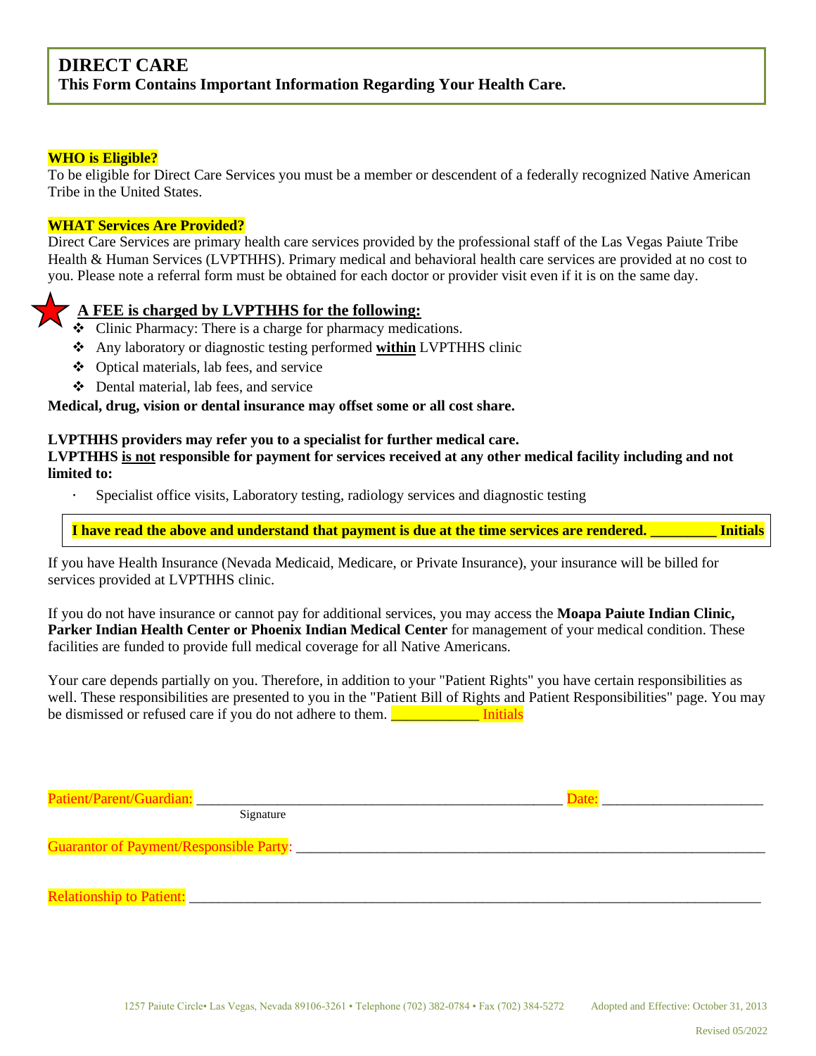# **DIRECT CARE This Form Contains Important Information Regarding Your Health Care.**

### **WHO is Eligible?**

To be eligible for Direct Care Services you must be a member or descendent of a federally recognized Native American Tribe in the United States.

### **WHAT Services Are Provided?**

Direct Care Services are primary health care services provided by the professional staff of the Las Vegas Paiute Tribe Health & Human Services (LVPTHHS). Primary medical and behavioral health care services are provided at no cost to you. Please note a referral form must be obtained for each doctor or provider visit even if it is on the same day.



## **A FEE is charged by LVPTHHS for the following:**

- ❖ Clinic Pharmacy: There is a charge for pharmacy medications.
- ❖ Any laboratory or diagnostic testing performed **within** LVPTHHS clinic
- ❖ Optical materials, lab fees, and service
- ❖ Dental material, lab fees, and service

**Medical, drug, vision or dental insurance may offset some or all cost share.**

### **LVPTHHS providers may refer you to a specialist for further medical care.**

**LVPTHHS is not responsible for payment for services received at any other medical facility including and not limited to:**

Specialist office visits, Laboratory testing, radiology services and diagnostic testing

**I have read the above and understand that payment is due at the time services are rendered. \_\_\_\_\_\_\_\_\_ Initials**

If you have Health Insurance (Nevada Medicaid, Medicare, or Private Insurance), your insurance will be billed for services provided at LVPTHHS clinic.

If you do not have insurance or cannot pay for additional services, you may access the **Moapa Paiute Indian Clinic, Parker Indian Health Center or Phoenix Indian Medical Center** for management of your medical condition. These facilities are funded to provide full medical coverage for all Native Americans.

Your care depends partially on you. Therefore, in addition to your "Patient Rights" you have certain responsibilities as well. These responsibilities are presented to you in the "Patient Bill of Rights and Patient Responsibilities" page. You may be dismissed or refused care if you do not adhere to them. **The initials** 

| Patient/Parent/Guardian:                       |           |  |
|------------------------------------------------|-----------|--|
|                                                | Signature |  |
| <b>Guarantor of Payment/Responsible Party:</b> |           |  |
|                                                |           |  |
| <b>Relationship to Patient:</b>                |           |  |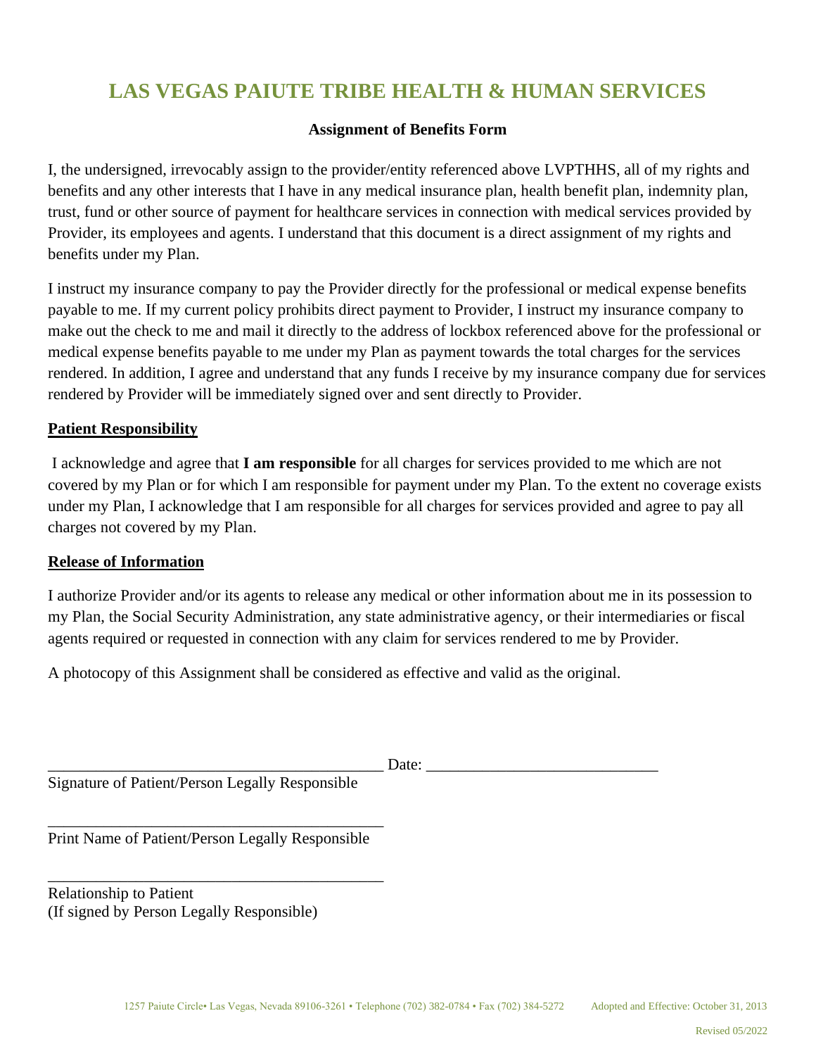# **LAS VEGAS PAIUTE TRIBE HEALTH & HUMAN SERVICES**

## **Assignment of Benefits Form**

I, the undersigned, irrevocably assign to the provider/entity referenced above LVPTHHS, all of my rights and benefits and any other interests that I have in any medical insurance plan, health benefit plan, indemnity plan, trust, fund or other source of payment for healthcare services in connection with medical services provided by Provider, its employees and agents. I understand that this document is a direct assignment of my rights and benefits under my Plan.

I instruct my insurance company to pay the Provider directly for the professional or medical expense benefits payable to me. If my current policy prohibits direct payment to Provider, I instruct my insurance company to make out the check to me and mail it directly to the address of lockbox referenced above for the professional or medical expense benefits payable to me under my Plan as payment towards the total charges for the services rendered. In addition, I agree and understand that any funds I receive by my insurance company due for services rendered by Provider will be immediately signed over and sent directly to Provider.

## **Patient Responsibility**

I acknowledge and agree that **I am responsible** for all charges for services provided to me which are not covered by my Plan or for which I am responsible for payment under my Plan. To the extent no coverage exists under my Plan, I acknowledge that I am responsible for all charges for services provided and agree to pay all charges not covered by my Plan.

## **Release of Information**

I authorize Provider and/or its agents to release any medical or other information about me in its possession to my Plan, the Social Security Administration, any state administrative agency, or their intermediaries or fiscal agents required or requested in connection with any claim for services rendered to me by Provider.

A photocopy of this Assignment shall be considered as effective and valid as the original.

\_\_\_\_\_\_\_\_\_\_\_\_\_\_\_\_\_\_\_\_\_\_\_\_\_\_\_\_\_\_\_\_\_\_\_\_\_\_\_\_\_\_ Date: \_\_\_\_\_\_\_\_\_\_\_\_\_\_\_\_\_\_\_\_\_\_\_\_\_\_\_\_\_

Signature of Patient/Person Legally Responsible

\_\_\_\_\_\_\_\_\_\_\_\_\_\_\_\_\_\_\_\_\_\_\_\_\_\_\_\_\_\_\_\_\_\_\_\_\_\_\_\_\_\_ Print Name of Patient/Person Legally Responsible

\_\_\_\_\_\_\_\_\_\_\_\_\_\_\_\_\_\_\_\_\_\_\_\_\_\_\_\_\_\_\_\_\_\_\_\_\_\_\_\_\_\_

Relationship to Patient (If signed by Person Legally Responsible)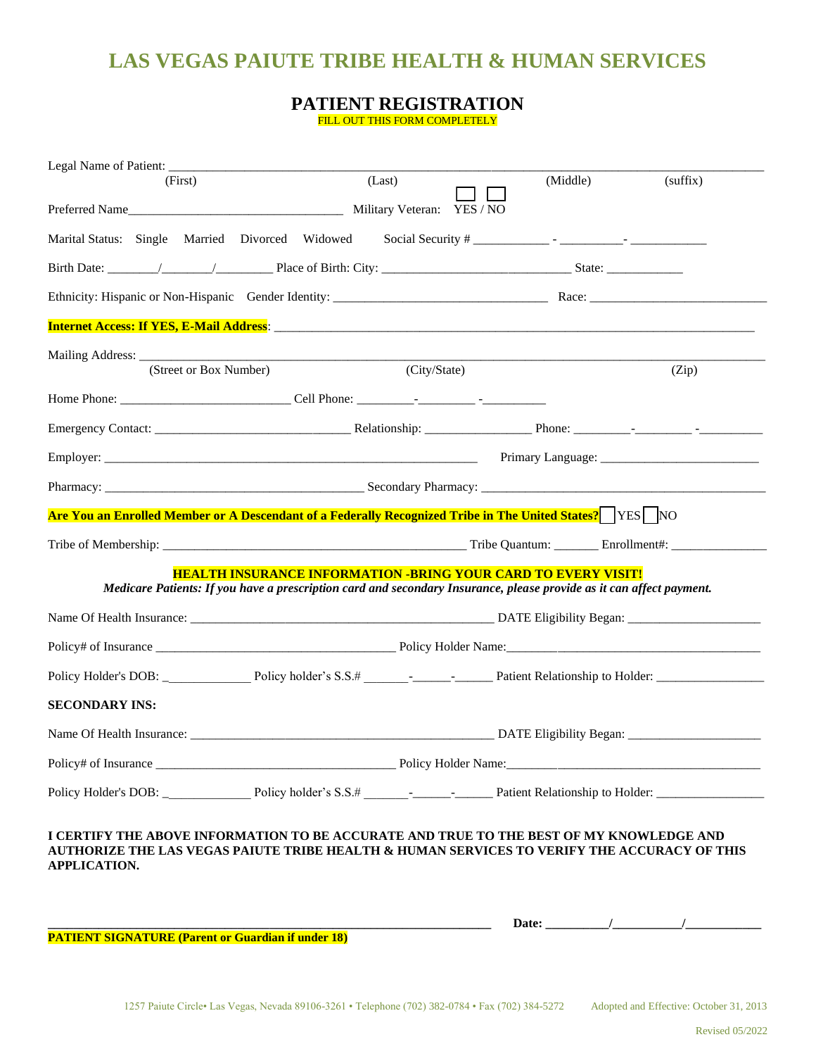# **LAS VEGAS PAIUTE TRIBE HEALTH & HUMAN SERVICES**

## **PATIENT REGISTRATION**

FILL OUT THIS FORM COMPLETELY

| (First)                | (Last)                                                                                                                                                                                       | (Middle) | (suffix) |
|------------------------|----------------------------------------------------------------------------------------------------------------------------------------------------------------------------------------------|----------|----------|
|                        |                                                                                                                                                                                              |          |          |
|                        |                                                                                                                                                                                              |          |          |
|                        |                                                                                                                                                                                              |          |          |
|                        |                                                                                                                                                                                              |          |          |
|                        |                                                                                                                                                                                              |          |          |
|                        |                                                                                                                                                                                              |          |          |
| (Street or Box Number) | (City/State)                                                                                                                                                                                 |          | (Zip)    |
|                        |                                                                                                                                                                                              |          |          |
|                        |                                                                                                                                                                                              |          |          |
|                        |                                                                                                                                                                                              |          |          |
|                        |                                                                                                                                                                                              |          |          |
|                        | Are You an Enrolled Member or A Descendant of a Federally Recognized Tribe in The United States? YES NO                                                                                      |          |          |
|                        |                                                                                                                                                                                              |          |          |
|                        | <b>HEALTH INSURANCE INFORMATION -BRING YOUR CARD TO EVERY VISIT!</b><br>Medicare Patients: If you have a prescription card and secondary Insurance, please provide as it can affect payment. |          |          |
|                        |                                                                                                                                                                                              |          |          |
|                        |                                                                                                                                                                                              |          |          |
|                        |                                                                                                                                                                                              |          |          |
| <b>SECONDARY INS:</b>  |                                                                                                                                                                                              |          |          |
|                        |                                                                                                                                                                                              |          |          |
|                        |                                                                                                                                                                                              |          |          |
|                        |                                                                                                                                                                                              |          |          |
| <b>APPLICATION.</b>    | I CERTIFY THE ABOVE INFORMATION TO BE ACCURATE AND TRUE TO THE BEST OF MY KNOWLEDGE AND<br>AUTHORIZE THE LAS VEGAS PAIUTE TRIBE HEALTH & HUMAN SERVICES TO VERIFY THE ACCURACY OF THIS       |          |          |

**PATIENT SIGNATURE (Parent or Guardian if under 18)**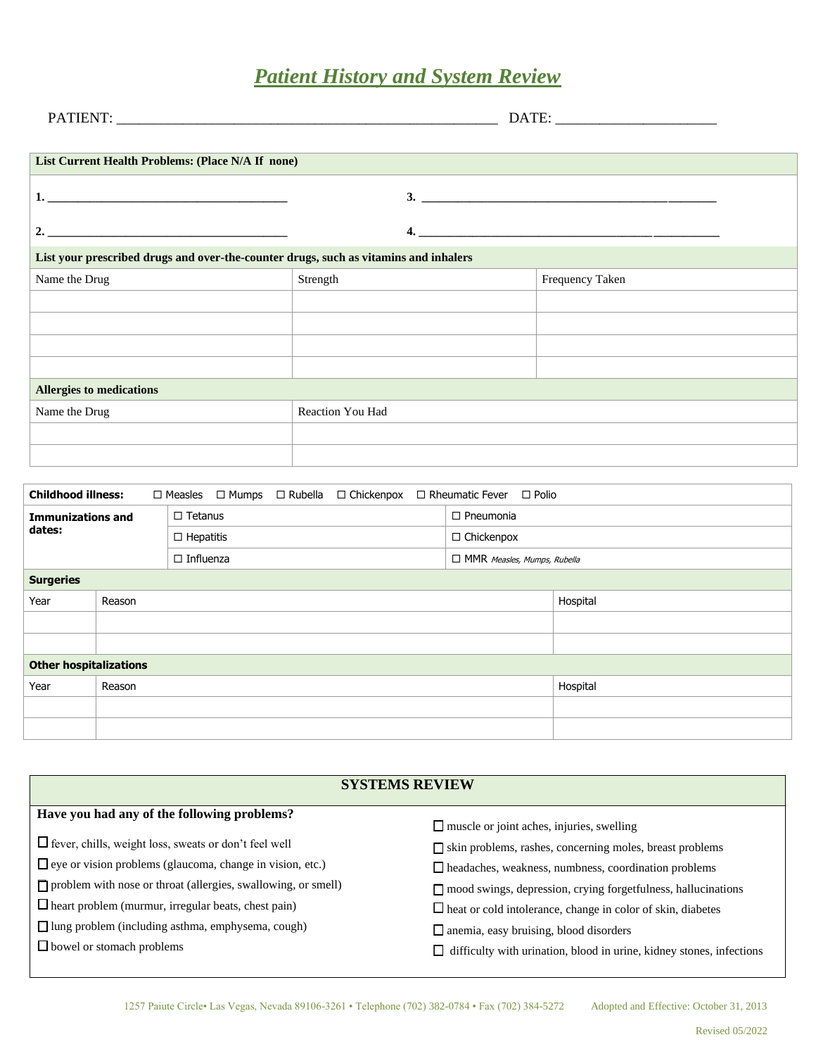# *Patient History and System Review*

| List Current Health Problems: (Place N/A If none)                                    |                  |                 |
|--------------------------------------------------------------------------------------|------------------|-----------------|
|                                                                                      |                  | $\frac{3}{2}$   |
|                                                                                      |                  |                 |
| List your prescribed drugs and over-the-counter drugs, such as vitamins and inhalers |                  |                 |
| Name the Drug                                                                        | Strength         | Frequency Taken |
|                                                                                      |                  |                 |
|                                                                                      |                  |                 |
|                                                                                      |                  |                 |
|                                                                                      |                  |                 |
| <b>Allergies to medications</b>                                                      |                  |                 |
| Name the Drug                                                                        | Reaction You Had |                 |
|                                                                                      |                  |                 |
|                                                                                      |                  |                 |

| <b>Childhood illness:</b>          | $\Box$ Mumps<br>$\Box$ Rubella $\Box$ Chickenpox<br>$\Box$ Measles<br>□ Rheumatic Fever<br>$\Box$ Polio |                |                  |  |  |                  |                             |          |
|------------------------------------|---------------------------------------------------------------------------------------------------------|----------------|------------------|--|--|------------------|-----------------------------|----------|
| <b>Immunizations and</b><br>dates: |                                                                                                         | $\Box$ Tetanus |                  |  |  | $\Box$ Pneumonia |                             |          |
|                                    |                                                                                                         |                | $\Box$ Hepatitis |  |  |                  | $\Box$ Chickenpox           |          |
|                                    |                                                                                                         |                | $\Box$ Influenza |  |  |                  | MMR Measles, Mumps, Rubella |          |
| <b>Surgeries</b>                   |                                                                                                         |                |                  |  |  |                  |                             |          |
| Year                               | Reason                                                                                                  |                |                  |  |  |                  |                             | Hospital |
|                                    |                                                                                                         |                |                  |  |  |                  |                             |          |
|                                    |                                                                                                         |                |                  |  |  |                  |                             |          |
| <b>Other hospitalizations</b>      |                                                                                                         |                |                  |  |  |                  |                             |          |
| Year                               | Reason                                                                                                  |                |                  |  |  |                  |                             | Hospital |
|                                    |                                                                                                         |                |                  |  |  |                  |                             |          |
|                                    |                                                                                                         |                |                  |  |  |                  |                             |          |

| <b>SYSTEMS REVIEW</b>                                                                                                                                                                                                                                                                                                                                                                                                 |                                                                                                                                                                                                                                                                                                                                                                                                                                                                  |  |  |  |
|-----------------------------------------------------------------------------------------------------------------------------------------------------------------------------------------------------------------------------------------------------------------------------------------------------------------------------------------------------------------------------------------------------------------------|------------------------------------------------------------------------------------------------------------------------------------------------------------------------------------------------------------------------------------------------------------------------------------------------------------------------------------------------------------------------------------------------------------------------------------------------------------------|--|--|--|
| Have you had any of the following problems?<br>$\Box$ fever, chills, weight loss, sweats or don't feel well<br>$\Box$ eye or vision problems (glaucoma, change in vision, etc.)<br>$\Box$ problem with nose or throat (allergies, swallowing, or smell)<br>$\Box$ heart problem (murmur, irregular beats, chest pain)<br>$\Box$ lung problem (including asthma, emphysema, cough)<br>$\Box$ bowel or stomach problems | $\Box$ muscle or joint aches, injuries, swelling<br>$\Box$ skin problems, rashes, concerning moles, breast problems<br>$\Box$ headaches, weakness, numbness, coordination problems<br>$\Box$ mood swings, depression, crying forgetfulness, hallucinations<br>$\Box$ heat or cold intolerance, change in color of skin, diabetes<br>$\Box$ anemia, easy bruising, blood disorders<br>$\Box$ difficulty with urination, blood in urine, kidney stones, infections |  |  |  |
|                                                                                                                                                                                                                                                                                                                                                                                                                       |                                                                                                                                                                                                                                                                                                                                                                                                                                                                  |  |  |  |